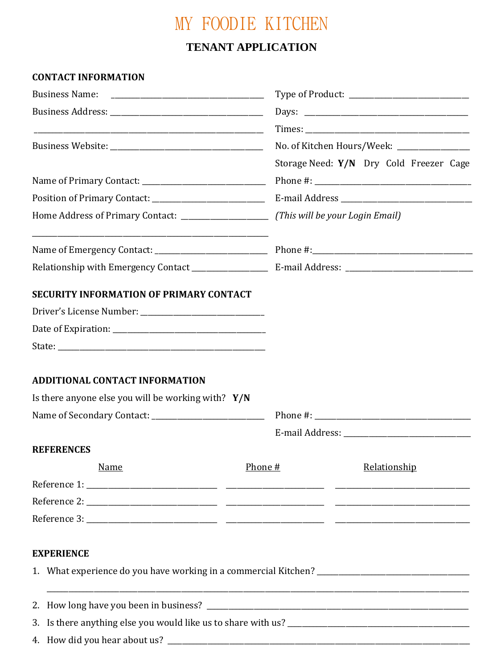## MY FOODIE KITCHEN

## **TENANT APPLICATION**

### **CONTACT INFORMATION**

| <b>SECURITY INFORMATION OF PRIMARY CONTACT</b><br><b>ADDITIONAL CONTACT INFORMATION</b><br>Is there anyone else you will be working with? $Y/N$<br><b>REFERENCES</b><br>Relationship<br>Phone #<br><b>Name</b><br><b>EXPERIENCE</b> |                                             |
|-------------------------------------------------------------------------------------------------------------------------------------------------------------------------------------------------------------------------------------|---------------------------------------------|
|                                                                                                                                                                                                                                     |                                             |
|                                                                                                                                                                                                                                     |                                             |
|                                                                                                                                                                                                                                     | No. of Kitchen Hours/Week: ________________ |
|                                                                                                                                                                                                                                     | Storage Need: Y/N Dry Cold Freezer Cage     |
|                                                                                                                                                                                                                                     |                                             |
|                                                                                                                                                                                                                                     |                                             |
|                                                                                                                                                                                                                                     |                                             |
|                                                                                                                                                                                                                                     |                                             |
|                                                                                                                                                                                                                                     |                                             |
|                                                                                                                                                                                                                                     |                                             |
|                                                                                                                                                                                                                                     |                                             |
|                                                                                                                                                                                                                                     |                                             |
|                                                                                                                                                                                                                                     |                                             |
|                                                                                                                                                                                                                                     |                                             |
|                                                                                                                                                                                                                                     |                                             |
|                                                                                                                                                                                                                                     |                                             |
|                                                                                                                                                                                                                                     |                                             |
|                                                                                                                                                                                                                                     |                                             |
|                                                                                                                                                                                                                                     |                                             |
|                                                                                                                                                                                                                                     |                                             |
|                                                                                                                                                                                                                                     |                                             |
|                                                                                                                                                                                                                                     |                                             |
|                                                                                                                                                                                                                                     |                                             |
|                                                                                                                                                                                                                                     |                                             |
|                                                                                                                                                                                                                                     |                                             |
|                                                                                                                                                                                                                                     |                                             |
|                                                                                                                                                                                                                                     |                                             |